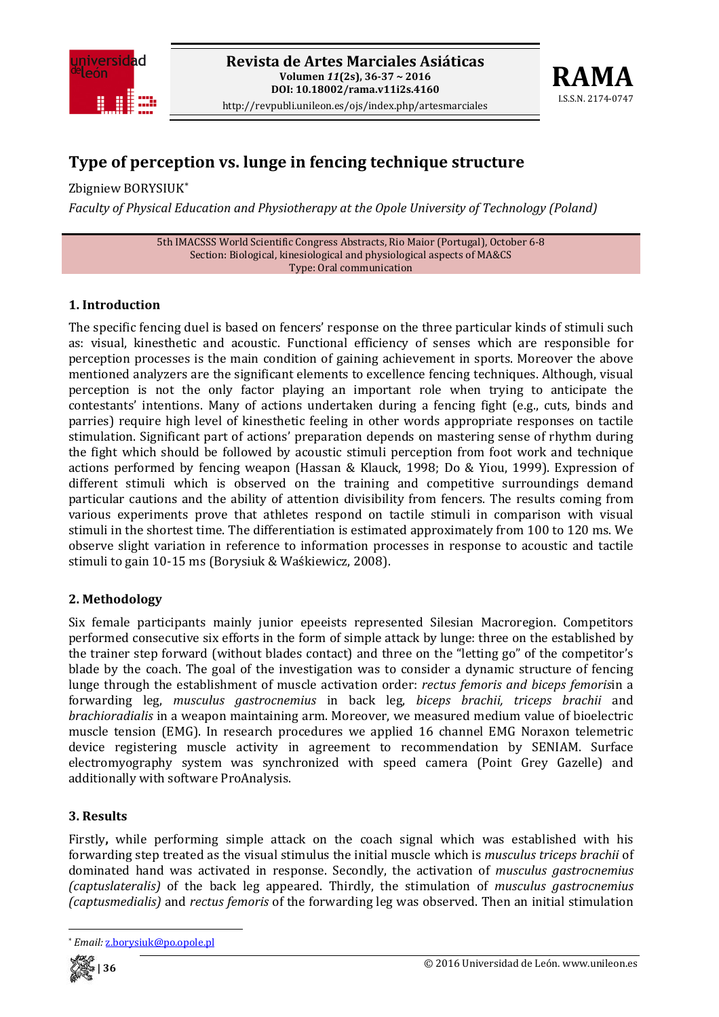



# **Type of perception vs. lunge in fencing technique structure**

Zbigniew BORYSIUK\*

*Faculty of Physical Education and Physiotherapy at the Opole University of Technology (Poland)*

5th IMACSSS World Scientific Congress Abstracts, Rio Maior (Portugal), October 6‐8 Section: Biological, kinesiological and physiological aspects of MA&CS Type: Oral communication

## **1. Introduction**

The specific fencing duel is based on fencers' response on the three particular kinds of stimuli such as: visual, kinesthetic and acoustic. Functional efficiency of senses which are responsible for perception processes is the main condition of gaining achievement in sports. Moreover the above mentioned analyzers are the significant elements to excellence fencing techniques. Although, visual perception is not the only factor playing an important role when trying to anticipate the contestants' intentions. Many of actions undertaken during a fencing fight (e.g., cuts, binds and parries) require high level of kinesthetic feeling in other words appropriate responses on tactile stimulation. Significant part of actions' preparation depends on mastering sense of rhythm during the fight which should be followed by acoustic stimuli perception from foot work and technique actions performed by fencing weapon (Hassan & Klauck, 1998; Do & Yiou, 1999). Expression of different stimuli which is observed on the training and competitive surroundings demand particular cautions and the ability of attention divisibility from fencers. The results coming from various experiments prove that athletes respond on tactile stimuli in comparison with visual stimuli in the shortest time. The differentiation is estimated approximately from 100 to 120 ms. We observe slight variation in reference to information processes in response to acoustic and tactile stimuli to gain 10‐15 ms (Borysiuk & Waśkiewicz, 2008).

# **2. Methodology**

Six female participants mainly junior epeeists represented Silesian Macroregion. Competitors performed consecutive six efforts in the form of simple attack by lunge: three on the established by the trainer step forward (without blades contact) and three on the "letting go" of the competitor's blade by the coach. The goal of the investigation was to consider a dynamic structure of fencing lunge through the establishment of muscle activation order: *rectus femoris and biceps femoris*in a forwarding leg, *musculus gastrocnemius* in back leg, *biceps brachii, triceps brachii* and *brachioradialis* in a weapon maintaining arm. Moreover, we measured medium value of bioelectric muscle tension (EMG). In research procedures we applied 16 channel EMG Noraxon telemetric device registering muscle activity in agreement to recommendation by SENIAM. Surface electromyography system was synchronized with speed camera (Point Grey Gazelle) and additionally with software ProAnalysis.

#### **3. Results**

Firstly**,** while performing simple attack on the coach signal which was established with his forwarding step treated as the visual stimulus the initial muscle which is *musculus triceps brachii* of dominated hand was activated in response. Secondly, the activation of *musculus gastrocnemius (captuslateralis)* of the back leg appeared. Thirdly, the stimulation of *musculus gastrocnemius (captusmedialis)* and *rectus femoris* of the forwarding leg was observed. Then an initial stimulation



<sup>\*</sup> *Email:* z.borysiuk@po.opole.pl